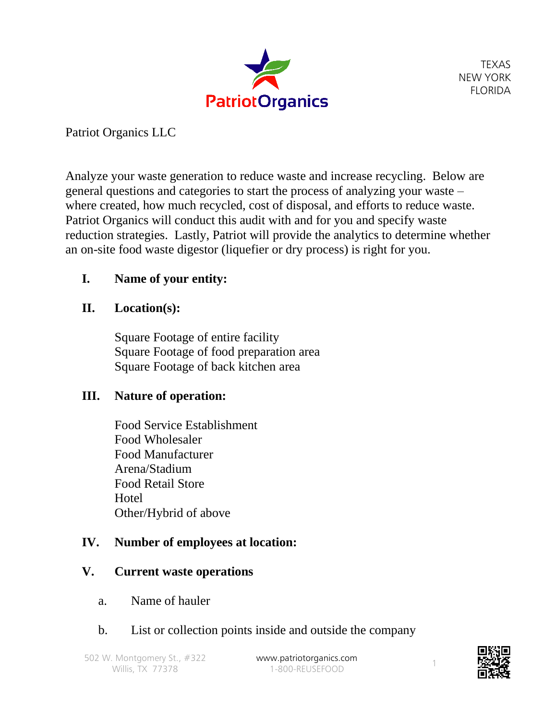

Patriot Organics LLC

Analyze your waste generation to reduce waste and increase recycling. Below are general questions and categories to start the process of analyzing your waste – where created, how much recycled, cost of disposal, and efforts to reduce waste. Patriot Organics will conduct this audit with and for you and specify waste reduction strategies. Lastly, Patriot will provide the analytics to determine whether an on-site food waste digestor (liquefier or dry process) is right for you.

# **I. Name of your entity:**

### **II. Location(s):**

Square Footage of entire facility Square Footage of food preparation area Square Footage of back kitchen area

### **III. Nature of operation:**

Food Service Establishment Food Wholesaler Food Manufacturer Arena/Stadium Food Retail Store **H**otel Other/Hybrid of above

### **IV. Number of employees at location:**

### **V. Current waste operations**

a. Name of hauler

### b. List or collection points inside and outside the company

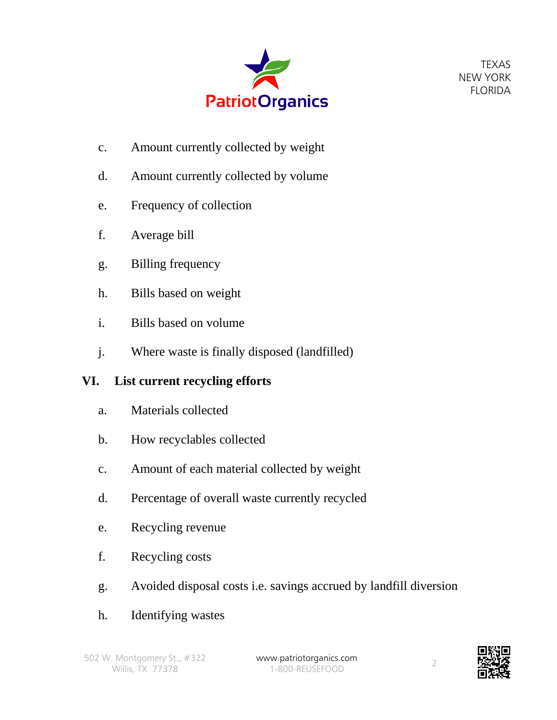

- c. Amount currently collected by weight
- d. Amount currently collected by volume
- e. Frequency of collection
- f. Average bill
- g. Billing frequency
- h. Bills based on weight
- i. Bills based on volume
- j. Where waste is finally disposed (landfilled)

# **VI. List current recycling efforts**

- a. Materials collected
- b. How recyclables collected
- c. Amount of each material collected by weight
- d. Percentage of overall waste currently recycled
- e. Recycling revenue
- f. Recycling costs
- g. Avoided disposal costs i.e. savings accrued by landfill diversion
- h. Identifying wastes

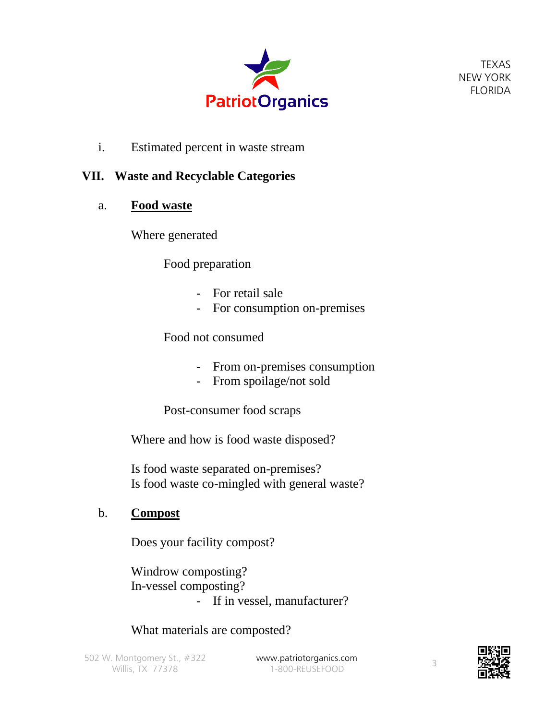

i. Estimated percent in waste stream

## **VII. Waste and Recyclable Categories**

a. **Food waste**

Where generated

Food preparation

- For retail sale
- For consumption on-premises

Food not consumed

- From on-premises consumption
- From spoilage/not sold

Post-consumer food scraps

Where and how is food waste disposed?

Is food waste separated on-premises? Is food waste co-mingled with general waste?

b. **Compost**

Does your facility compost?

Windrow composting? In-vessel composting? - If in vessel, manufacturer?

What materials are composted?

1-800-REUSEFOOD 3

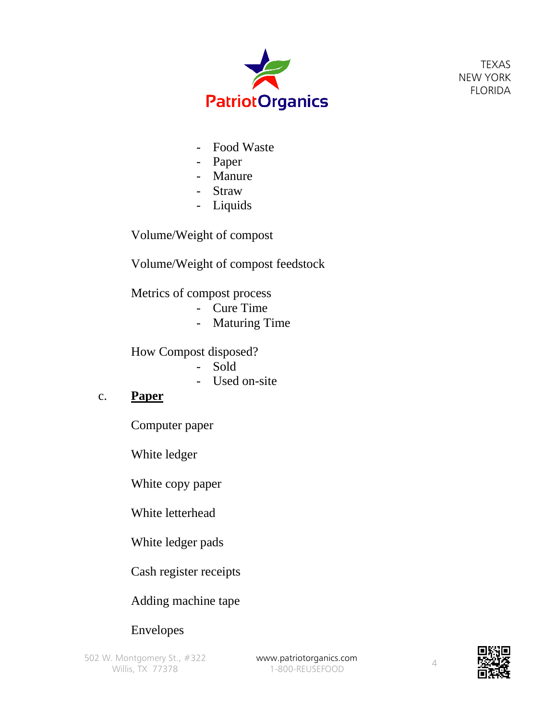

- Food Waste
- Paper
- Manure
- Straw
- Liquids

Volume/Weight of compost

Volume/Weight of compost feedstock

Metrics of compost process

- Cure Time
- Maturing Time

How Compost disposed?

- Sold
- Used on-site

#### c. **Paper**

Computer paper

White ledger

White copy paper

White letterhead

White ledger pads

Cash register receipts

### Adding machine tape

# Envelopes

502 W. Montgomery St., #322 **[www.patriotorganics.com](http://www.patriotorganics.com/)** Willis, TX 77378

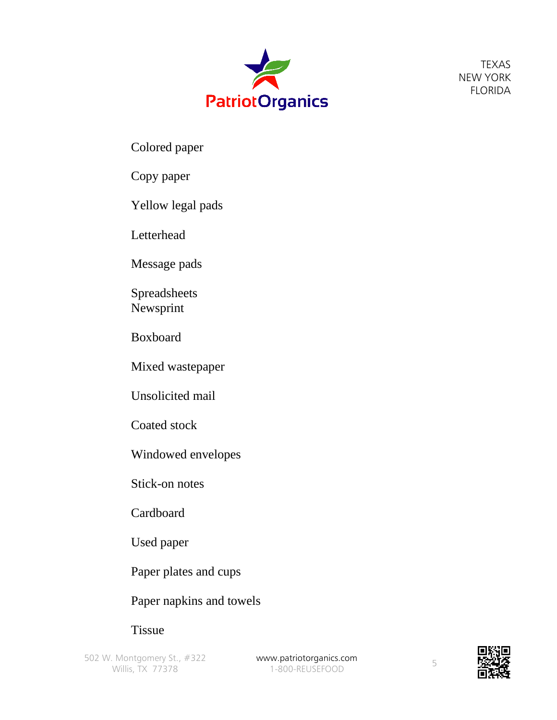

Colored paper

### Copy paper

Yellow legal pads

Letterhead

Message pads

Spreadsheets Newsprint

Boxboard

Mixed wastepaper

Unsolicited mail

Coated stock

Windowed envelopes

Stick-on notes

Cardboard

Used paper

Paper plates and cups

Paper napkins and towels

**Tissue** 

502 W. Montgomery St., #322 **[www.patriotorganics.com](http://www.patriotorganics.com/)** Willis, TX 77378

ww.pathologanics.com<br>1-800-REUSEFOOD 5

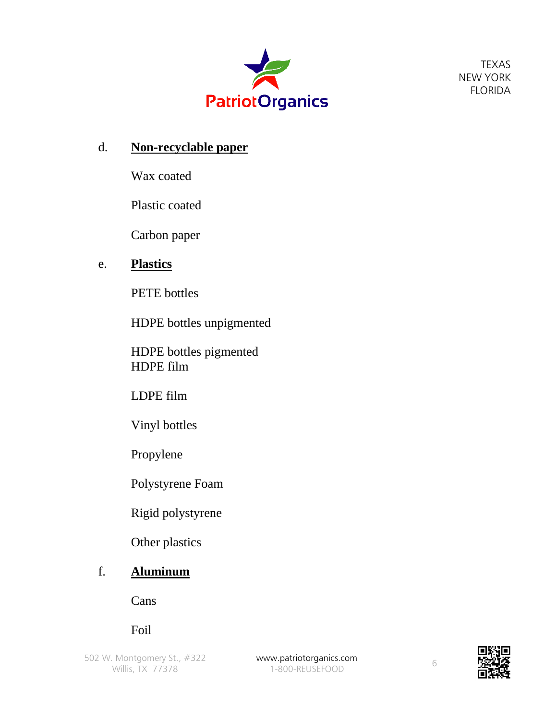

#### d. **Non-recyclable paper**

Wax coated

Plastic coated

Carbon paper

## e. **Plastics**

PETE bottles

HDPE bottles unpigmented

HDPE bottles pigmented HDPE film

LDPE film

Vinyl bottles

Propylene

Polystyrene Foam

Rigid polystyrene

Other plastics

# f. **Aluminum**

Cans

Foil

502 W. Montgomery St., #322 Willis, TX 77378

[www.patriotorganics.com](http://www.patriotorganics.com/) ww.pathologanics.com<br>1-800-REUSEFOOD 6